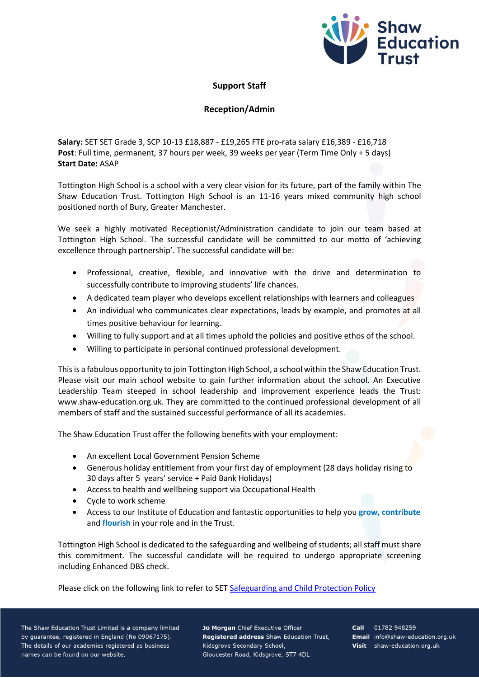

## **Support Staff**

## **Reception/Admin**

**Salary:** SET SET Grade 3, SCP 10-13 £18,887 - £19,265 FTE pro-rata salary £16,389 - £16,718 **Post**: Full time, permanent, 37 hours per week, 39 weeks per year (Term Time Only + 5 days) **Start Date:** ASAP

Tottington High School is a school with a very clear vision for its future, part of the family within The Shaw Education Trust. Tottington High School is an 11-16 years mixed community high school positioned north of Bury, Greater Manchester.

We seek a highly motivated Receptionist/Administration candidate to join our team based at Tottington High School. The successful candidate will be committed to our motto of 'achieving excellence through partnership'. The successful candidate will be:

- Professional, creative, flexible, and innovative with the drive and determination to successfully contribute to improving students' life chances.
- A dedicated team player who develops excellent relationships with learners and colleagues
- An individual who communicates clear expectations, leads by example, and promotes at all times positive behaviour for learning.
- Willing to fully support and at all times uphold the policies and positive ethos of the school.
- Willing to participate in personal continued professional development.

This is a fabulous opportunity to join Tottington High School, a school within the Shaw Education Trust. Please visit our main school website to gain further information about the school. An Executive Leadership Team steeped in school leadership and improvement experience leads the Trust: www.shaw-education.org.uk. They are committed to the continued professional development of all members of staff and the sustained successful performance of all its academies.

The Shaw Education Trust offer the following benefits with your employment:

- An excellent Local Government Pension Scheme
- Generous holiday entitlement from your first day of employment (28 days holiday rising to 30 days after 5 years' service + Paid Bank Holidays)
- Access to health and wellbeing support via Occupational Health
- Cycle to work scheme
- Access to our Institute of Education and fantastic opportunities to help you **grow, contribute** and **flourish** in your role and in the Trust.

Tottington High School is dedicated to the safeguarding and wellbeing of students; all staff must share this commitment. The successful candidate will be required to undergo appropriate screening including Enhanced DBS check.

Please click on the following link to refer to SET [Safeguarding and Child Protection Policy](https://www.shaw-education.org.uk/uploads/New%20SET%20documents/Central%20Policies/Safeguarding%20and%20Pupil%20Protection%20Policy%202021-22.pdf)

The Shaw Education Trust Limited is a company limited by guarantee, registered in England (No 09067175). The details of our academies registered as business names can be found on our website.

Jo Morgan Chief Executive Officer Registered address Shaw Education Trust, Kidsgrove Secondary School, Gloucester Road, Kidsgrove, ST7 4DL

Call 01782 948259 Email info@shaw-education.org.uk Visit shaw-education.org.uk